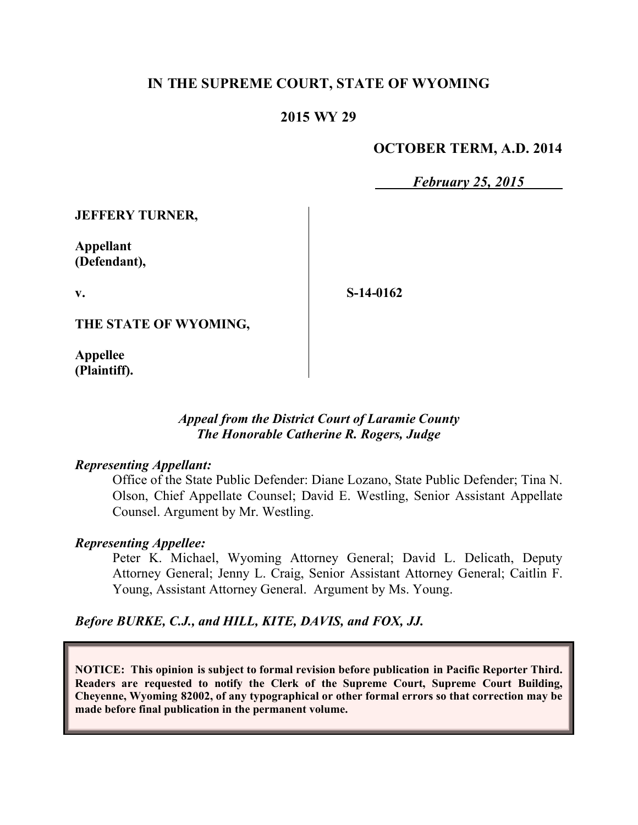# **IN THE SUPREME COURT, STATE OF WYOMING**

# **2015 WY 29**

### **OCTOBER TERM, A.D. 2014**

*February 25, 2015*

**JEFFERY TURNER,**

**Appellant (Defendant),**

**v.**

**S-14-0162**

**THE STATE OF WYOMING,**

**Appellee (Plaintiff).**

### *Appeal from the District Court of Laramie County The Honorable Catherine R. Rogers, Judge*

#### *Representing Appellant:*

Office of the State Public Defender: Diane Lozano, State Public Defender; Tina N. Olson, Chief Appellate Counsel; David E. Westling, Senior Assistant Appellate Counsel. Argument by Mr. Westling.

### *Representing Appellee:*

Peter K. Michael, Wyoming Attorney General; David L. Delicath, Deputy Attorney General; Jenny L. Craig, Senior Assistant Attorney General; Caitlin F. Young, Assistant Attorney General. Argument by Ms. Young.

*Before BURKE, C.J., and HILL, KITE, DAVIS, and FOX, JJ.*

**NOTICE: This opinion is subject to formal revision before publication in Pacific Reporter Third. Readers are requested to notify the Clerk of the Supreme Court, Supreme Court Building, Cheyenne, Wyoming 82002, of any typographical or other formal errors so that correction may be made before final publication in the permanent volume.**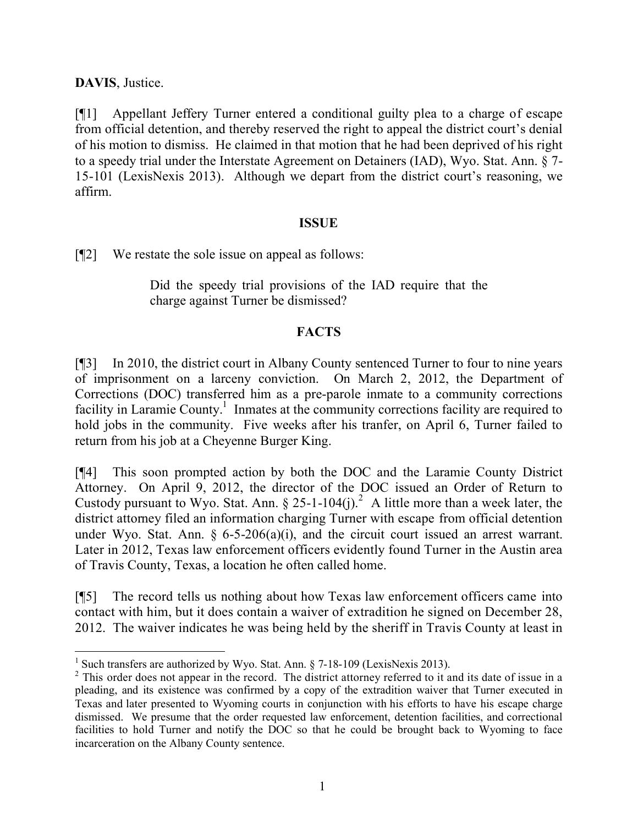**DAVIS**, Justice.

[¶1] Appellant Jeffery Turner entered a conditional guilty plea to a charge of escape from official detention, and thereby reserved the right to appeal the district court's denial of his motion to dismiss. He claimed in that motion that he had been deprived of his right to a speedy trial under the Interstate Agreement on Detainers (IAD), Wyo. Stat. Ann. § 7- 15-101 (LexisNexis 2013). Although we depart from the district court's reasoning, we affirm.

# **ISSUE**

[¶2] We restate the sole issue on appeal as follows:

Did the speedy trial provisions of the IAD require that the charge against Turner be dismissed?

### **FACTS**

[¶3] In 2010, the district court in Albany County sentenced Turner to four to nine years of imprisonment on a larceny conviction. On March 2, 2012, the Department of Corrections (DOC) transferred him as a pre-parole inmate to a community corrections facility in Laramie County.<sup>1</sup> Inmates at the community corrections facility are required to hold jobs in the community. Five weeks after his tranfer, on April 6, Turner failed to return from his job at a Cheyenne Burger King.

[¶4] This soon prompted action by both the DOC and the Laramie County District Attorney. On April 9, 2012, the director of the DOC issued an Order of Return to Custody pursuant to Wyo. Stat. Ann. § 25-1-104(j).<sup>2</sup> A little more than a week later, the district attorney filed an information charging Turner with escape from official detention under Wyo. Stat. Ann.  $\delta$  6-5-206(a)(i), and the circuit court issued an arrest warrant. Later in 2012, Texas law enforcement officers evidently found Turner in the Austin area of Travis County, Texas, a location he often called home.

[¶5] The record tells us nothing about how Texas law enforcement officers came into contact with him, but it does contain a waiver of extradition he signed on December 28, 2012. The waiver indicates he was being held by the sheriff in Travis County at least in

<sup>&</sup>lt;sup>1</sup> Such transfers are authorized by Wyo. Stat. Ann. § 7-18-109 (LexisNexis 2013).

<sup>&</sup>lt;sup>2</sup> This order does not appear in the record. The district attorney referred to it and its date of issue in a pleading, and its existence was confirmed by a copy of the extradition waiver that Turner executed in Texas and later presented to Wyoming courts in conjunction with his efforts to have his escape charge dismissed. We presume that the order requested law enforcement, detention facilities, and correctional facilities to hold Turner and notify the DOC so that he could be brought back to Wyoming to face incarceration on the Albany County sentence.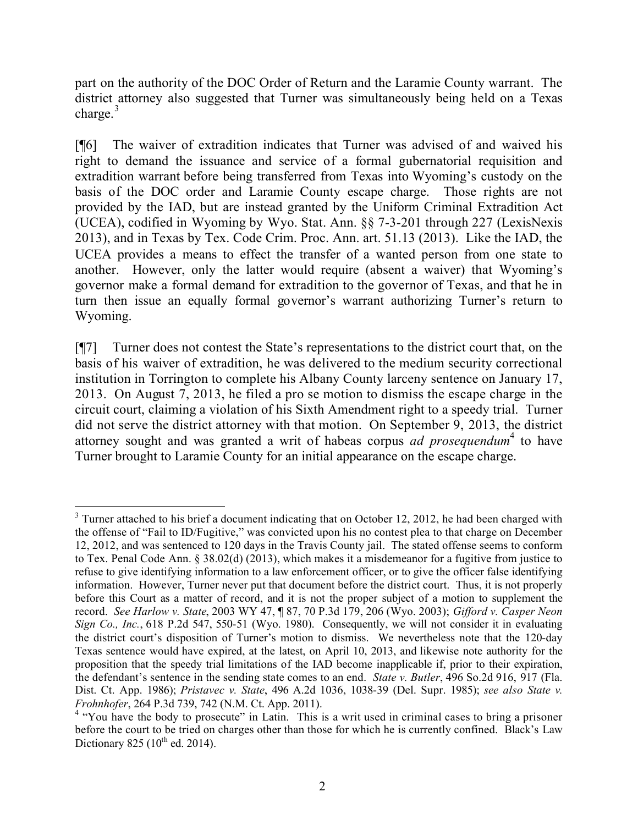part on the authority of the DOC Order of Return and the Laramie County warrant. The district attorney also suggested that Turner was simultaneously being held on a Texas charge. $3$ 

[¶6] The waiver of extradition indicates that Turner was advised of and waived his right to demand the issuance and service of a formal gubernatorial requisition and extradition warrant before being transferred from Texas into Wyoming's custody on the basis of the DOC order and Laramie County escape charge. Those rights are not provided by the IAD, but are instead granted by the Uniform Criminal Extradition Act (UCEA), codified in Wyoming by Wyo. Stat. Ann. §§ 7-3-201 through 227 (LexisNexis 2013), and in Texas by Tex. Code Crim. Proc. Ann. art. 51.13 (2013). Like the IAD, the UCEA provides a means to effect the transfer of a wanted person from one state to another. However, only the latter would require (absent a waiver) that Wyoming's governor make a formal demand for extradition to the governor of Texas, and that he in turn then issue an equally formal governor's warrant authorizing Turner's return to Wyoming.

[¶7] Turner does not contest the State's representations to the district court that, on the basis of his waiver of extradition, he was delivered to the medium security correctional institution in Torrington to complete his Albany County larceny sentence on January 17, 2013. On August 7, 2013, he filed a pro se motion to dismiss the escape charge in the circuit court, claiming a violation of his Sixth Amendment right to a speedy trial. Turner did not serve the district attorney with that motion. On September 9, 2013, the district attorney sought and was granted a writ of habeas corpus *ad prosequendum*<sup>4</sup> to have Turner brought to Laramie County for an initial appearance on the escape charge.

  $3$  Turner attached to his brief a document indicating that on October 12, 2012, he had been charged with the offense of "Fail to ID/Fugitive," was convicted upon his no contest plea to that charge on December 12, 2012, and was sentenced to 120 days in the Travis County jail. The stated offense seems to conform to Tex. Penal Code Ann. § 38.02(d) (2013), which makes it a misdemeanor for a fugitive from justice to refuse to give identifying information to a law enforcement officer, or to give the officer false identifying information. However, Turner never put that document before the district court. Thus, it is not properly before this Court as a matter of record, and it is not the proper subject of a motion to supplement the record. *See Harlow v. State*, 2003 WY 47, ¶ 87, 70 P.3d 179, 206 (Wyo. 2003); *Gifford v. Casper Neon Sign Co., Inc.*, 618 P.2d 547, 550-51 (Wyo. 1980). Consequently, we will not consider it in evaluating the district court's disposition of Turner's motion to dismiss. We nevertheless note that the 120-day Texas sentence would have expired, at the latest, on April 10, 2013, and likewise note authority for the proposition that the speedy trial limitations of the IAD become inapplicable if, prior to their expiration, the defendant's sentence in the sending state comes to an end. *State v. Butler*, 496 So.2d 916, 917 (Fla. Dist. Ct. App. 1986); *Pristavec v. State*, 496 A.2d 1036, 1038-39 (Del. Supr. 1985); *see also State v. Frohnhofer*, 264 P.3d 739, 742 (N.M. Ct. App. 2011).

<sup>&</sup>lt;sup>4</sup> "You have the body to prosecute" in Latin. This is a writ used in criminal cases to bring a prisoner before the court to be tried on charges other than those for which he is currently confined. Black's Law Dictionary 825 ( $10^{th}$  ed. 2014).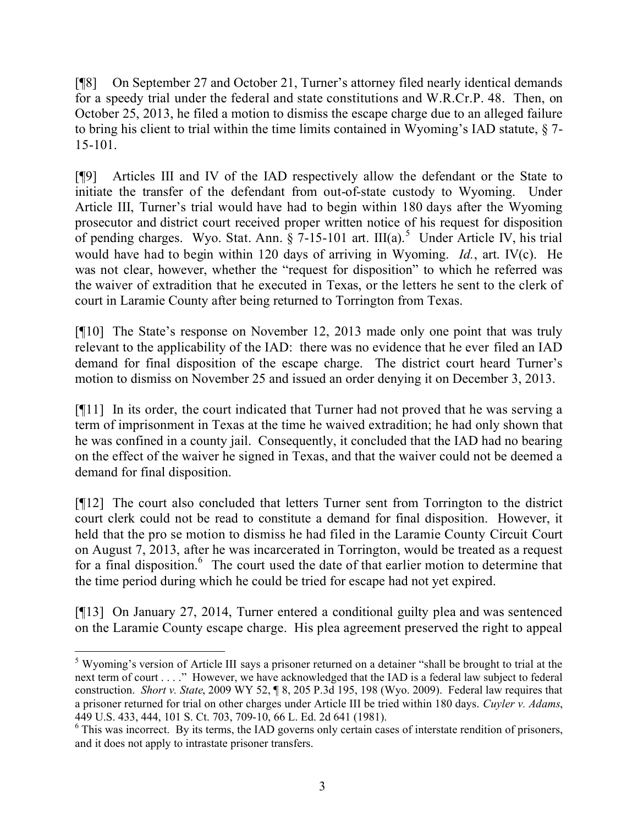[¶8] On September 27 and October 21, Turner's attorney filed nearly identical demands for a speedy trial under the federal and state constitutions and W.R.Cr.P. 48. Then, on October 25, 2013, he filed a motion to dismiss the escape charge due to an alleged failure to bring his client to trial within the time limits contained in Wyoming's IAD statute, § 7- 15-101.

[¶9] Articles III and IV of the IAD respectively allow the defendant or the State to initiate the transfer of the defendant from out-of-state custody to Wyoming. Under Article III, Turner's trial would have had to begin within 180 days after the Wyoming prosecutor and district court received proper written notice of his request for disposition of pending charges. Wyo. Stat. Ann.  $\hat{\S}$  7-15-101 art. III(a).<sup>5</sup> Under Article IV, his trial would have had to begin within 120 days of arriving in Wyoming. *Id.*, art. IV(c). He was not clear, however, whether the "request for disposition" to which he referred was the waiver of extradition that he executed in Texas, or the letters he sent to the clerk of court in Laramie County after being returned to Torrington from Texas.

[¶10] The State's response on November 12, 2013 made only one point that was truly relevant to the applicability of the IAD: there was no evidence that he ever filed an IAD demand for final disposition of the escape charge. The district court heard Turner's motion to dismiss on November 25 and issued an order denying it on December 3, 2013.

[¶11] In its order, the court indicated that Turner had not proved that he was serving a term of imprisonment in Texas at the time he waived extradition; he had only shown that he was confined in a county jail. Consequently, it concluded that the IAD had no bearing on the effect of the waiver he signed in Texas, and that the waiver could not be deemed a demand for final disposition.

[¶12] The court also concluded that letters Turner sent from Torrington to the district court clerk could not be read to constitute a demand for final disposition. However, it held that the pro se motion to dismiss he had filed in the Laramie County Circuit Court on August 7, 2013, after he was incarcerated in Torrington, would be treated as a request for a final disposition.<sup>6</sup> The court used the date of that earlier motion to determine that the time period during which he could be tried for escape had not yet expired.

[¶13] On January 27, 2014, Turner entered a conditional guilty plea and was sentenced on the Laramie County escape charge. His plea agreement preserved the right to appeal

 $\overline{a}$ 

<sup>&</sup>lt;sup>5</sup> Wyoming's version of Article III says a prisoner returned on a detainer "shall be brought to trial at the next term of court . . . ." However, we have acknowledged that the IAD is a federal law subject to federal construction. *Short v. State*, 2009 WY 52, ¶ 8, 205 P.3d 195, 198 (Wyo. 2009). Federal law requires that a prisoner returned for trial on other charges under Article III be tried within 180 days. *Cuyler v. Adams*, 449 U.S. 433, 444, 101 S. Ct. 703, 709-10, 66 L. Ed. 2d 641 (1981).

<sup>&</sup>lt;sup>6</sup> This was incorrect. By its terms, the IAD governs only certain cases of interstate rendition of prisoners, and it does not apply to intrastate prisoner transfers.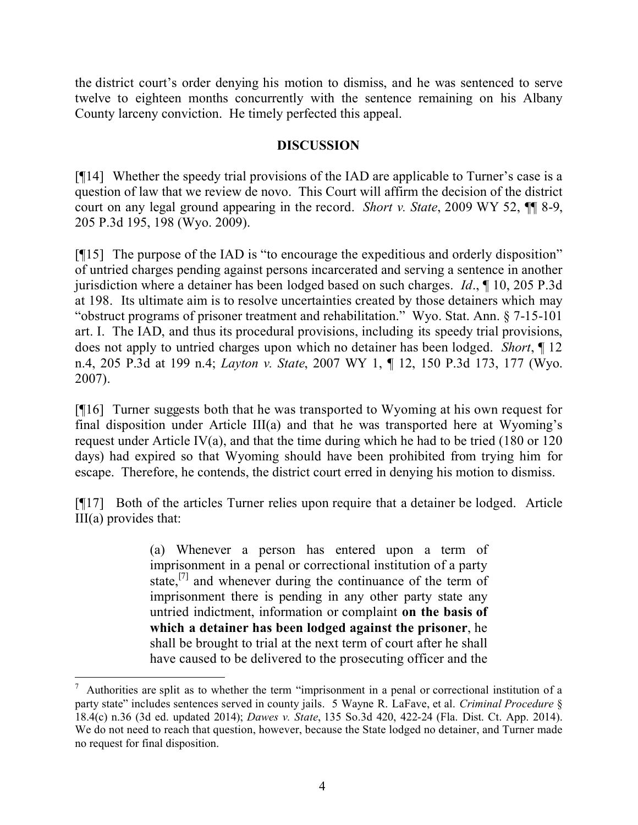the district court's order denying his motion to dismiss, and he was sentenced to serve twelve to eighteen months concurrently with the sentence remaining on his Albany County larceny conviction. He timely perfected this appeal.

## **DISCUSSION**

[¶14] Whether the speedy trial provisions of the IAD are applicable to Turner's case is a question of law that we review de novo. This Court will affirm the decision of the district court on any legal ground appearing in the record. *Short v. State*, 2009 WY 52, ¶¶ 8-9, 205 P.3d 195, 198 (Wyo. 2009).

[¶15] The purpose of the IAD is "to encourage the expeditious and orderly disposition" of untried charges pending against persons incarcerated and serving a sentence in another jurisdiction where a detainer has been lodged based on such charges. *Id*., ¶ 10, 205 P.3d at 198. Its ultimate aim is to resolve uncertainties created by those detainers which may "obstruct programs of prisoner treatment and rehabilitation." Wyo. Stat. Ann. § 7-15-101 art. I. The IAD, and thus its procedural provisions, including its speedy trial provisions, does not apply to untried charges upon which no detainer has been lodged. *Short*, ¶ 12 n.4, 205 P.3d at 199 n.4; *Layton v. State*, 2007 WY 1, ¶ 12, 150 P.3d 173, 177 (Wyo. 2007).

[¶16] Turner suggests both that he was transported to Wyoming at his own request for final disposition under Article III(a) and that he was transported here at Wyoming's request under Article IV(a), and that the time during which he had to be tried (180 or 120 days) had expired so that Wyoming should have been prohibited from trying him for escape. Therefore, he contends, the district court erred in denying his motion to dismiss.

[¶17] Both of the articles Turner relies upon require that a detainer be lodged. Article III(a) provides that:

> (a) Whenever a person has entered upon a term of imprisonment in a penal or correctional institution of a party state,<sup>[7]</sup> and whenever during the continuance of the term of imprisonment there is pending in any other party state any untried indictment, information or complaint **on the basis of which a detainer has been lodged against the prisoner**, he shall be brought to trial at the next term of court after he shall have caused to be delivered to the prosecuting officer and the

 $<sup>7</sup>$  Authorities are split as to whether the term "imprisonment in a penal or correctional institution of a</sup> party state" includes sentences served in county jails. 5 Wayne R. LaFave, et al. *Criminal Procedure* § 18.4(c) n.36 (3d ed. updated 2014); *Dawes v. State*, 135 So.3d 420, 422-24 (Fla. Dist. Ct. App. 2014). We do not need to reach that question, however, because the State lodged no detainer, and Turner made no request for final disposition.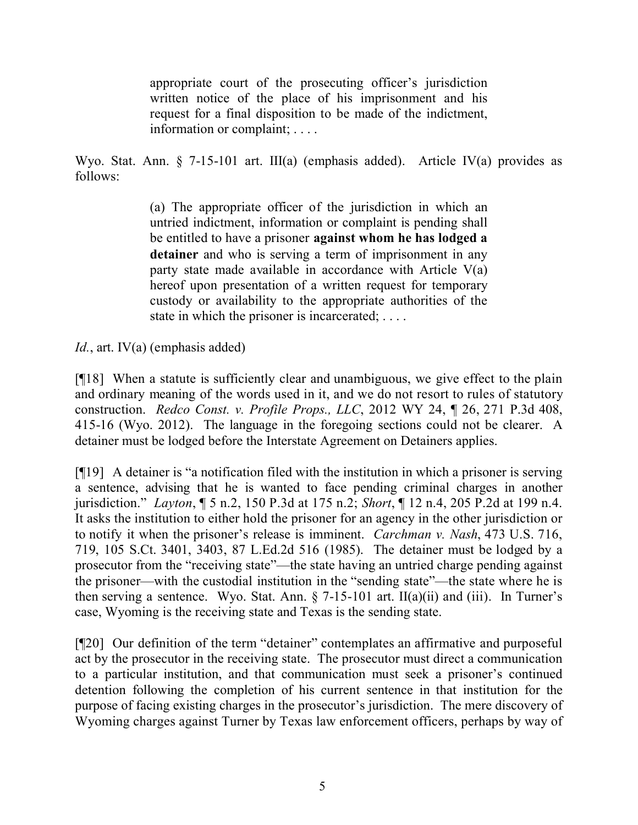appropriate court of the prosecuting officer's jurisdiction written notice of the place of his imprisonment and his request for a final disposition to be made of the indictment, information or complaint; . . . .

Wyo. Stat. Ann. § 7-15-101 art. III(a) (emphasis added). Article IV(a) provides as follows:

> (a) The appropriate officer of the jurisdiction in which an untried indictment, information or complaint is pending shall be entitled to have a prisoner **against whom he has lodged a detainer** and who is serving a term of imprisonment in any party state made available in accordance with Article V(a) hereof upon presentation of a written request for temporary custody or availability to the appropriate authorities of the state in which the prisoner is incarcerated; ....

*Id.*, art. IV(a) (emphasis added)

[¶18] When a statute is sufficiently clear and unambiguous, we give effect to the plain and ordinary meaning of the words used in it, and we do not resort to rules of statutory construction. *Redco Const. v. Profile Props., LLC*, 2012 WY 24, ¶ 26, 271 P.3d 408, 415-16 (Wyo. 2012). The language in the foregoing sections could not be clearer. A detainer must be lodged before the Interstate Agreement on Detainers applies.

[¶19] A detainer is "a notification filed with the institution in which a prisoner is serving a sentence, advising that he is wanted to face pending criminal charges in another jurisdiction." *Layton*, ¶ 5 n.2, 150 P.3d at 175 n.2; *Short*, ¶ 12 n.4, 205 P.2d at 199 n.4. It asks the institution to either hold the prisoner for an agency in the other jurisdiction or to notify it when the prisoner's release is imminent. *Carchman v. Nash*, 473 U.S. 716, 719, 105 S.Ct. 3401, 3403, 87 L.Ed.2d 516 (1985). The detainer must be lodged by a prosecutor from the "receiving state"—the state having an untried charge pending against the prisoner—with the custodial institution in the "sending state"—the state where he is then serving a sentence. Wyo. Stat. Ann.  $\S$  7-15-101 art. II(a)(ii) and (iii). In Turner's case, Wyoming is the receiving state and Texas is the sending state.

[¶20] Our definition of the term "detainer" contemplates an affirmative and purposeful act by the prosecutor in the receiving state. The prosecutor must direct a communication to a particular institution, and that communication must seek a prisoner's continued detention following the completion of his current sentence in that institution for the purpose of facing existing charges in the prosecutor's jurisdiction. The mere discovery of Wyoming charges against Turner by Texas law enforcement officers, perhaps by way of